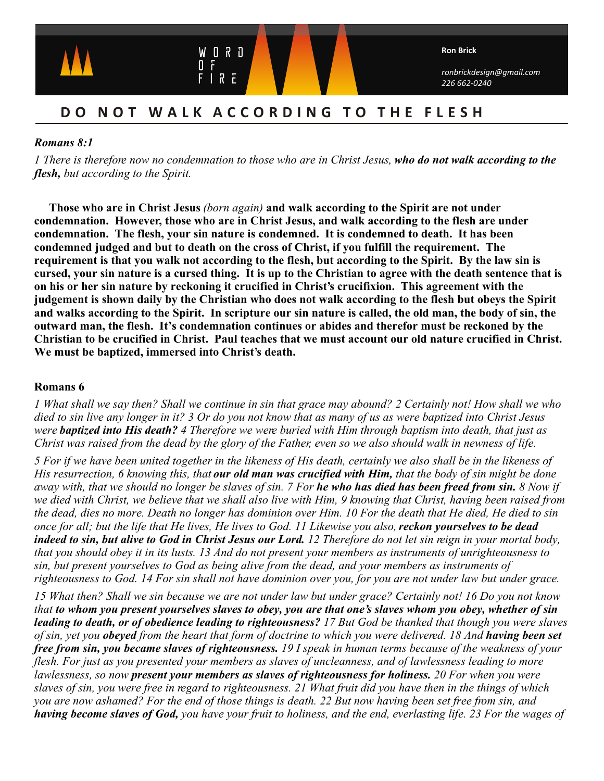

# **DO NOT WALK ACCORDING TO THE FLESH**

## *Romans 8:1*

*1 There is therefore now no condemnation to those who are in Christ Jesus, who do not walk according to the flesh, but according to the Spirit.*

**Those who are in Christ Jesus** *(born again)* **and walk according to the Spirit are not under condemnation. However, those who are in Christ Jesus, and walk according to the flesh are under condemnation. The flesh, your sin nature is condemned. It is condemned to death. It has been condemned judged and but to death on the cross of Christ, if you fulfill the requirement. The requirement is that you walk not according to the flesh, but according to the Spirit. By the law sin is cursed, your sin nature is a cursed thing. It is up to the Christian to agree with the death sentence that is on his or her sin nature by reckoning it crucified in Christ's crucifixion. This agreement with the judgement is shown daily by the Christian who does not walk according to the flesh but obeys the Spirit and walks according to the Spirit. In scripture our sin nature is called, the old man, the body of sin, the outward man, the flesh. It's condemnation continues or abides and therefor must be reckoned by the Christian to be crucified in Christ. Paul teaches that we must account our old nature crucified in Christ. We must be baptized, immersed into Christ's death.**

## **Romans 6**

*1 What shall we say then? Shall we continue in sin that grace may abound? 2 Certainly not! How shall we who died to sin live any longer in it? 3 Or do you not know that as many of us as were baptized into Christ Jesus were baptized into His death? 4 Therefore we were buried with Him through baptism into death, that just as Christ was raised from the dead by the glory of the Father, even so we also should walk in newness of life.*

*5 For if we have been united together in the likeness of His death, certainly we also shall be in the likeness of His resurrection, 6 knowing this, that our old man was crucified with Him, that the body of sin might be done away with, that we should no longer be slaves of sin. 7 For he who has died has been freed from sin. 8 Now if we died with Christ, we believe that we shall also live with Him, 9 knowing that Christ, having been raised from the dead, dies no more. Death no longer has dominion over Him. 10 For the death that He died, He died to sin once for all; but the life that He lives, He lives to God. 11 Likewise you also, reckon yourselves to be dead indeed to sin, but alive to God in Christ Jesus our Lord. 12 Therefore do not let sin reign in your mortal body, that you should obey it in its lusts. 13 And do not present your members as instruments of unrighteousness to sin, but present yourselves to God as being alive from the dead, and your members as instruments of righteousness to God. 14 For sin shall not have dominion over you, for you are not under law but under grace.*

*15 What then? Shall we sin because we are not under law but under grace? Certainly not! 16 Do you not know that to whom you present yourselves slaves to obey, you are that one's slaves whom you obey, whether of sin leading to death, or of obedience leading to righteousness? 17 But God be thanked that though you were slaves of sin, yet you obeyed from the heart that form of doctrine to which you were delivered. 18 And having been set free from sin, you became slaves of righteousness. 19 I speak in human terms because of the weakness of your flesh. For just as you presented your members as slaves of uncleanness, and of lawlessness leading to more lawlessness, so now present your members as slaves of righteousness for holiness. 20 For when you were slaves of sin, you were free in regard to righteousness. 21 What fruit did you have then in the things of which you are now ashamed? For the end of those things is death. 22 But now having been set free from sin, and having become slaves of God, you have your fruit to holiness, and the end, everlasting life. 23 For the wages of*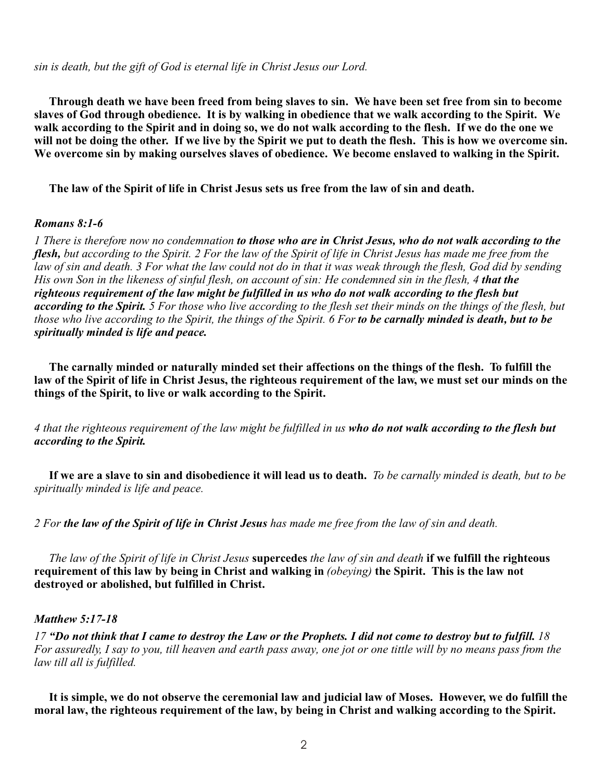*sin is death, but the gift of God is eternal life in Christ Jesus our Lord.*

**Through death we have been freed from being slaves to sin. We have been set free from sin to become slaves of God through obedience. It is by walking in obedience that we walk according to the Spirit. We walk according to the Spirit and in doing so, we do not walk according to the flesh. If we do the one we will not be doing the other. If we live by the Spirit we put to death the flesh. This is how we overcome sin. We overcome sin by making ourselves slaves of obedience. We become enslaved to walking in the Spirit.** 

 **The law of the Spirit of life in Christ Jesus sets us free from the law of sin and death.**

#### *Romans 8:1-6*

*1 There is therefore now no condemnation to those who are in Christ Jesus, who do not walk according to the flesh, but according to the Spirit. 2 For the law of the Spirit of life in Christ Jesus has made me free from the law of sin and death. 3 For what the law could not do in that it was weak through the flesh, God did by sending His own Son in the likeness of sinful flesh, on account of sin: He condemned sin in the flesh, 4 that the righteous requirement of the law might be fulfilled in us who do not walk according to the flesh but according to the Spirit. 5 For those who live according to the flesh set their minds on the things of the flesh, but those who live according to the Spirit, the things of the Spirit. 6 For to be carnally minded is death, but to be spiritually minded is life and peace.*

**The carnally minded or naturally minded set their affections on the things of the flesh. To fulfill the law of the Spirit of life in Christ Jesus, the righteous requirement of the law, we must set our minds on the things of the Spirit, to live or walk according to the Spirit.** 

*4 that the righteous requirement of the law might be fulfilled in us who do not walk according to the flesh but according to the Spirit.* 

 **If we are a slave to sin and disobedience it will lead us to death.** *To be carnally minded is death, but to be spiritually minded is life and peace.* 

*2 For the law of the Spirit of life in Christ Jesus has made me free from the law of sin and death.* 

 *The law of the Spirit of life in Christ Jesus* **supercedes** *the law of sin and death* **if we fulfill the righteous requirement of this law by being in Christ and walking in** *(obeying)* **the Spirit. This is the law not destroyed or abolished, but fulfilled in Christ.**

#### *Matthew 5:17-18*

*17 "Do not think that I came to destroy the Law or the Prophets. I did not come to destroy but to fulfill. 18 For assuredly, I say to you, till heaven and earth pass away, one jot or one tittle will by no means pass from the law till all is fulfilled.*

 **It is simple, we do not observe the ceremonial law and judicial law of Moses. However, we do fulfill the moral law, the righteous requirement of the law, by being in Christ and walking according to the Spirit.**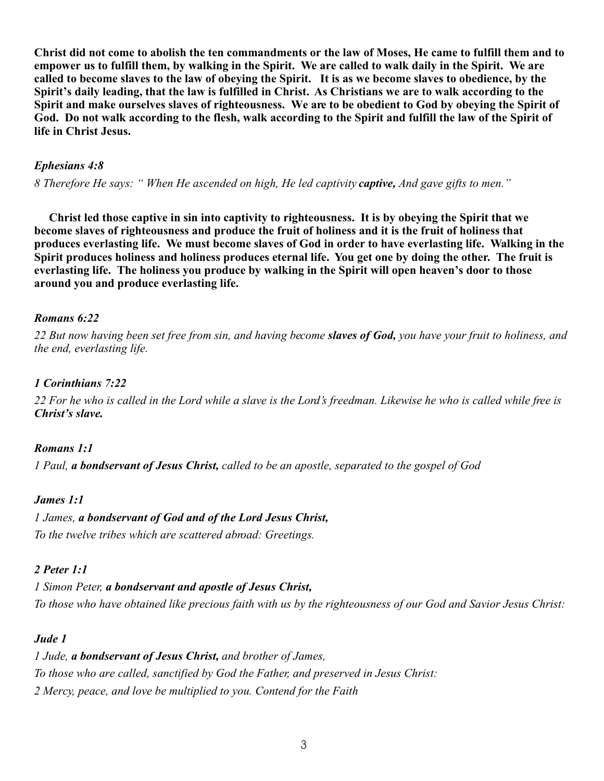**Christ did not come to abolish the ten commandments or the law of Moses, He came to fulfill them and to empower us to fulfill them, by walking in the Spirit. We are called to walk daily in the Spirit. We are called to become slaves to the law of obeying the Spirit. It is as we become slaves to obedience, by the Spirit's daily leading, that the law is fulfilled in Christ. As Christians we are to walk according to the Spirit and make ourselves slaves of righteousness. We are to be obedient to God by obeying the Spirit of God. Do not walk according to the flesh, walk according to the Spirit and fulfill the law of the Spirit of life in Christ Jesus.** 

# *Ephesians 4:8*

*8 Therefore He says: " When He ascended on high, He led captivity captive, And gave gifts to men."*

**Christ led those captive in sin into captivity to righteousness. It is by obeying the Spirit that we become slaves of righteousness and produce the fruit of holiness and it is the fruit of holiness that produces everlasting life. We must become slaves of God in order to have everlasting life. Walking in the Spirit produces holiness and holiness produces eternal life. You get one by doing the other. The fruit is everlasting life. The holiness you produce by walking in the Spirit will open heaven's door to those around you and produce everlasting life.**

### *Romans 6:22*

*22 But now having been set free from sin, and having become slaves of God, you have your fruit to holiness, and the end, everlasting life.*

# *1 Corinthians 7:22*

*22 For he who is called in the Lord while a slave is the Lord's freedman. Likewise he who is called while free is Christ's slave.*

### *Romans 1:1*

*1 Paul, a bondservant of Jesus Christ, called to be an apostle, separated to the gospel of God*

### *James 1:1*

*1 James, a bondservant of God and of the Lord Jesus Christ, To the twelve tribes which are scattered abroad: Greetings.*

### *2 Peter 1:1*

*1 Simon Peter, a bondservant and apostle of Jesus Christ, To those who have obtained like precious faith with us by the righteousness of our God and Savior Jesus Christ:* 

### *Jude 1*

*1 Jude, a bondservant of Jesus Christ, and brother of James, To those who are called, sanctified by God the Father, and preserved in Jesus Christ: 2 Mercy, peace, and love be multiplied to you. Contend for the Faith*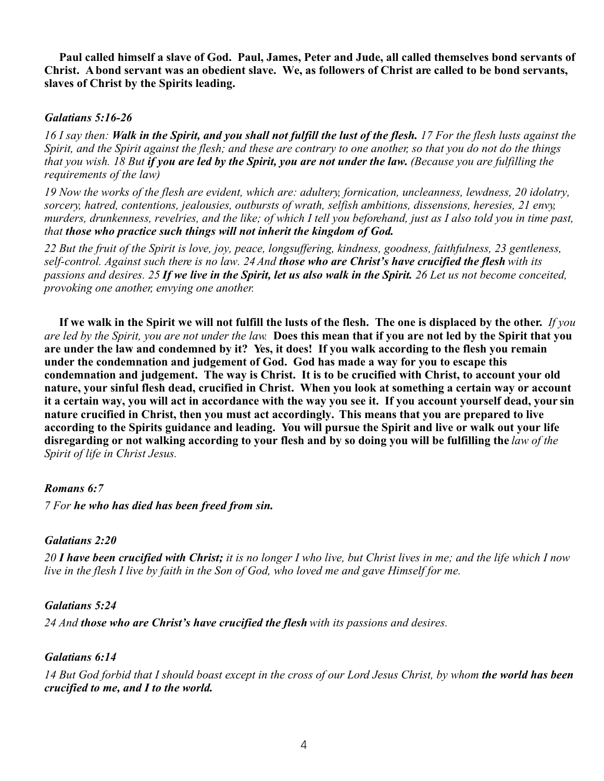**Paul called himself a slave of God. Paul, James, Peter and Jude, all called themselves bond servants of Christ. A bond servant was an obedient slave. We, as followers of Christ are called to be bond servants, slaves of Christ by the Spirits leading.**

#### *Galatians 5:16-26*

*16 I say then: Walk in the Spirit, and you shall not fulfill the lust of the flesh. 17 For the flesh lusts against the Spirit, and the Spirit against the flesh; and these are contrary to one another, so that you do not do the things that you wish. 18 But if you are led by the Spirit, you are not under the law. (Because you are fulfilling the requirements of the law)*

*19 Now the works of the flesh are evident, which are: adultery, fornication, uncleanness, lewdness, 20 idolatry, sorcery, hatred, contentions, jealousies, outbursts of wrath, selfish ambitions, dissensions, heresies, 21 envy, murders, drunkenness, revelries, and the like; of which I tell you beforehand, just as I also told you in time past, that those who practice such things will not inherit the kingdom of God.*

*22 But the fruit of the Spirit is love, joy, peace, longsuffering, kindness, goodness, faithfulness, 23 gentleness, self-control. Against such there is no law. 24 And those who are Christ's have crucified the flesh with its passions and desires. 25 If we live in the Spirit, let us also walk in the Spirit. 26 Let us not become conceited, provoking one another, envying one another.*

**If we walk in the Spirit we will not fulfill the lusts of the flesh. The one is displaced by the other.** *If you are led by the Spirit, you are not under the law.* **Does this mean that if you are not led by the Spirit that you are under the law and condemned by it? Yes, it does! If you walk according to the flesh you remain under the condemnation and judgement of God. God has made a way for you to escape this condemnation and judgement. The way is Christ. It is to be crucified with Christ, to account your old nature, your sinful flesh dead, crucified in Christ. When you look at something a certain way or account it a certain way, you will act in accordance with the way you see it. If you account yourself dead, your sin nature crucified in Christ, then you must act accordingly. This means that you are prepared to live according to the Spirits guidance and leading. You will pursue the Spirit and live or walk out your life disregarding or not walking according to your flesh and by so doing you will be fulfilling the** *law of the Spirit of life in Christ Jesus.* 

### *Romans 6:7*

*7 For he who has died has been freed from sin.*

### *Galatians 2:20*

*20 I have been crucified with Christ; it is no longer I who live, but Christ lives in me; and the life which I now live in the flesh I live by faith in the Son of God, who loved me and gave Himself for me.*

### *Galatians 5:24*

*24 And those who are Christ's have crucified the flesh with its passions and desires.*

### *Galatians 6:14*

14 But God forbid that I should boast except in the cross of our Lord Jesus Christ, by whom **the world has been** *crucified to me, and I to the world.*